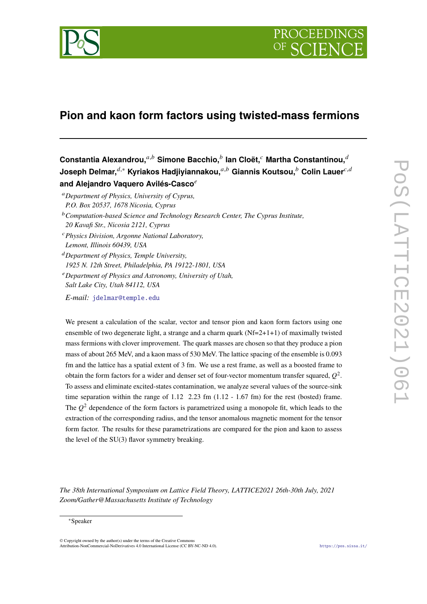

# **Pion and kaon form factors using twisted-mass fermions**

 $\boldsymbol{\mathsf{Constant}}$ ia Alexandrou, $^{a,b}$  Simone Bacchio, $^b$  lan Cloët, $^c$  Martha Constantinou, $^{\widetilde{a}}$ Joseph Delmar.<sup>d,∗</sup> Kyriakos Hadiiviannakou.<sup>a,b</sup> Giannis Koutsou.<sup>b</sup> Colin Lauer<sup>c,d</sup> **and Alejandro Vaquero Avilés-Casco**

- *Department of Physics, University of Cyprus, P.O. Box 20537, 1678 Nicosia, Cyprus*
- *Computation-based Science and Technology Research Center, The Cyprus Institute, 20 Kavafi Str., Nicosia 2121, Cyprus*
- *Physics Division, Argonne National Laboratory, Lemont, Illinois 60439, USA*
- *Department of Physics, Temple University, 1925 N. 12th Street, Philadelphia, PA 19122-1801, USA*
- *Department of Physics and Astronomy, University of Utah, Salt Lake City, Utah 84112, USA*
- *E-mail:* [jdelmar@temple.edu](mailto:jdelmar@temple.edu)

We present a calculation of the scalar, vector and tensor pion and kaon form factors using one ensemble of two degenerate light, a strange and a charm quark (Nf=2+1+1) of maximally twisted mass fermions with clover improvement. The quark masses are chosen so that they produce a pion mass of about 265 MeV, and a kaon mass of 530 MeV. The lattice spacing of the ensemble is 0.093 fm and the lattice has a spatial extent of 3 fm. We use a rest frame, as well as a boosted frame to obtain the form factors for a wider and denser set of four-vector momentum transfer squared,  $Q^2$ . To assess and eliminate excited-states contamination, we analyze several values of the source-sink time separation within the range of  $1.12$   $2.23$  fm  $(1.12 - 1.67)$  fm for the rest (bosted) frame. The  $Q^2$  dependence of the form factors is parametrized using a monopole fit, which leads to the extraction of the corresponding radius, and the tensor anomalous magnetic moment for the tensor form factor. The results for these parametrizations are compared for the pion and kaon to assess the level of the SU(3) flavor symmetry breaking.

*The 38th International Symposium on Lattice Field Theory, LATTICE2021 26th-30th July, 2021 Zoom/Gather@Massachusetts Institute of Technology*

<sup>∗</sup>Speaker

<sup>©</sup> Copyright owned by the author(s) under the terms of the Creative Commons Attribution-NonCommercial-NoDerivatives 4.0 International License (CC BY-NC-ND 4.0). <https://pos.sissa.it/>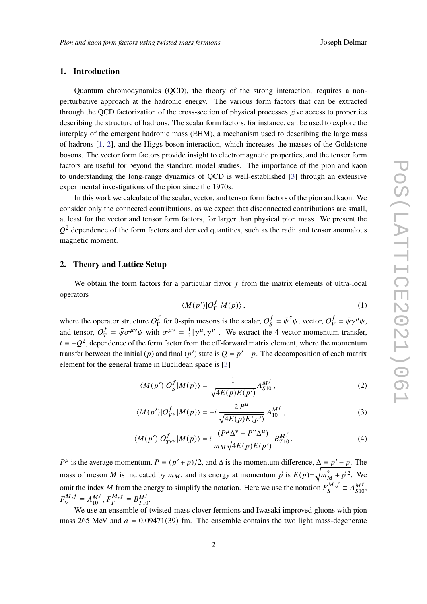## **1. Introduction**

Quantum chromodynamics (QCD), the theory of the strong interaction, requires a nonperturbative approach at the hadronic energy. The various form factors that can be extracted through the QCD factorization of the cross-section of physical processes give access to properties describing the structure of hadrons. The scalar form factors, for instance, can be used to explore the interplay of the emergent hadronic mass (EHM), a mechanism used to describing the large mass of hadrons [\[1,](#page-8-0) [2\]](#page-8-1), and the Higgs boson interaction, which increases the masses of the Goldstone bosons. The vector form factors provide insight to electromagnetic properties, and the tensor form factors are useful for beyond the standard model studies. The importance of the pion and kaon to understanding the long-range dynamics of QCD is well-established [\[3\]](#page-8-2) through an extensive experimental investigations of the pion since the 1970s.

In this work we calculate of the scalar, vector, and tensor form factors of the pion and kaon. We consider only the connected contributions, as we expect that disconnected contributions are small, at least for the vector and tensor form factors, for larger than physical pion mass. We present the  $Q<sup>2</sup>$  dependence of the form factors and derived quantities, such as the radii and tensor anomalous magnetic moment.

## **2. Theory and Lattice Setup**

We obtain the form factors for a particular flavor  $f$  from the matrix elements of ultra-local operators

$$
\langle M(p')|O_{\Gamma}^{f}|M(p)\rangle, \qquad (1)
$$

where the operator structure  $O_{\Gamma}^{f}$  $\frac{f}{\Gamma}$  for 0-spin mesons is the scalar,  $O_S^f$  $S^f = \bar{\psi} \hat{1} \psi$ , vector,  $O_V^f$  $\bar{\psi}_V^f = \bar{\psi} \gamma^\mu \psi,$ and tensor,  $O_T^f$  $\bar{y}^f = \bar{\psi} \sigma^{\mu\nu} \psi$  with  $\sigma^{\mu\nu} = \frac{1}{2}$  $\frac{1}{2}[\gamma^{\mu}, \gamma^{\nu}]$ . We extract the 4-vector momentum transfer,  $t \equiv -Q^2$ , dependence of the form factor from the off-forward matrix element, where the momentum transfer between the initial (p) and final (p') state is  $Q = p' - p$ . The decomposition of each matrix element for the general frame in Euclidean space is [\[3\]](#page-8-2)

$$
\langle M(p')|O_S^f|M(p)\rangle = \frac{1}{\sqrt{4E(p)E(p')}} A_{S10}^{M^f},\tag{2}
$$

$$
\langle M(p')|O_{V^{\mu}}^f|M(p)\rangle = -i\,\frac{2P^{\mu}}{\sqrt{4E(p)E(p')}}A_{10}^{M^f},\qquad(3)
$$

$$
\langle M(p')|O_{T^{\mu\nu}}^f|M(p)\rangle = i\,\frac{(P^\mu \Delta^\nu - P^\nu \Delta^\mu)}{m_M \sqrt{4E(p)E(p')}}\,B_{T10}^{M^f}.\tag{4}
$$

 $P^{\mu}$  is the average momentum,  $P \equiv (p' + p)/2$ , and  $\Delta$  is the momentum difference,  $\Delta \equiv p' - p$ . The mass of meson *M* is indicated by  $m_M$ , and its energy at momentum  $\vec{p}$  is  $E(p)=\sqrt{m_M^2 + \vec{p}^2}$ . We omit the index M from the energy to simplify the notation. Here we use the notation  $F_s^{M, j}$  $S^{M,f} \equiv A_{S10}^{M^f},$  $F_{1}^{M,f}$  $N_f^M = A_{10}^{Mf}, F_T^{M,f}$  $T^{M,f} \equiv B_{T10}^{M^f}.$ 

We use an ensemble of twisted-mass clover fermions and Iwasaki improved gluons with pion mass 265 MeV and  $a = 0.09471(39)$  fm. The ensemble contains the two light mass-degenerate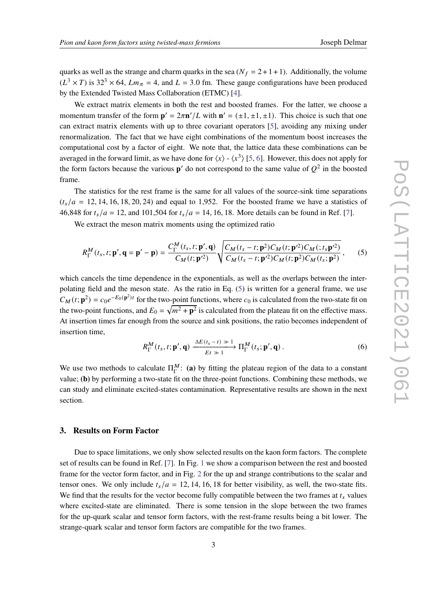quarks as well as the strange and charm quarks in the sea ( $N_f = 2 + 1 + 1$ ). Additionally, the volume  $(L^3 \times T)$  is 32<sup>3</sup>  $\times$  64,  $Lm_{\pi}$  = 4, and  $L = 3.0$  fm. These gauge configurations have been produced by the Extended Twisted Mass Collaboration (ETMC) [\[4\]](#page-8-3).

We extract matrix elements in both the rest and boosted frames. For the latter, we choose a momentum transfer of the form  $\mathbf{p}' = 2\pi \mathbf{n}' / L$  with  $\mathbf{n}' = (\pm 1, \pm 1, \pm 1)$ . This choice is such that one can extract matrix elements with up to three covariant operators [\[5\]](#page-8-4), avoiding any mixing under renormalization. The fact that we have eight combinations of the momentum boost increases the computational cost by a factor of eight. We note that, the lattice data these combinations can be averaged in the forward limit, as we have done for  $\langle x \rangle$  -  $\langle x^3 \rangle$  [\[5,](#page-8-4) [6\]](#page-8-5). However, this does not apply for the form factors because the various  $p'$  do not correspond to the same value of  $Q^2$  in the boosted frame.

The statistics for the rest frame is the same for all values of the source-sink time separations  $(t_s/a = 12, 14, 16, 18, 20, 24)$  and equal to 1,952. For the boosted frame we have a statistics of 46,848 for  $t_s/a = 12$ , and 101,504 for  $t_s/a = 14$ , 16, 18. More details can be found in Ref. [\[7\]](#page-8-6).

We extract the meson matrix moments using the optimized ratio

<span id="page-2-0"></span>
$$
R_{\Gamma}^{M}(t_{s}, t; \mathbf{p}', \mathbf{q} = \mathbf{p}' - \mathbf{p}) = \frac{C_{\Gamma}^{M}(t_{s}, t; \mathbf{p}', \mathbf{q})}{C_{M}(t; \mathbf{p}'^{2})} \sqrt{\frac{C_{M}(t_{s} - t; \mathbf{p}^{2}) C_{M}(t; \mathbf{p}'^{2}) C_{M}(t; \mathbf{p}'^{2})}{C_{M}(t_{s} - t; \mathbf{p}'^{2}) C_{M}(t; \mathbf{p}^{2}) C_{M}(t; \mathbf{p}^{2})}},
$$
(5)

which cancels the time dependence in the exponentials, as well as the overlaps between the interpolating field and the meson state. As the ratio in Eq. [\(5\)](#page-2-0) is written for a general frame, we use  $C_M(t; \mathbf{p}^2) = c_0 e^{-E_0(\mathbf{p}^2)t}$  for the two-point functions, where  $c_0$  is calculated from the two-state fit on the two-point functions, and  $E_0 = \sqrt{m^2 + \mathbf{p}^2}$  is calculated from the plateau fit on the effective mass. At insertion times far enough from the source and sink positions, the ratio becomes independent of insertion time,

$$
R_{\Gamma}^{M}(t_{s}, t; \mathbf{p}', \mathbf{q}) \xrightarrow{ \Delta E(t_{s}-t) \gg 1} \Pi_{\Gamma}^{M}(t_{s}; \mathbf{p}', \mathbf{q}) . \tag{6}
$$

We use two methods to calculate  $\Pi_{\Gamma}^{M}$  $^M_{\Gamma}$ : (a) by fitting the plateau region of the data to a constant value; **(b)** by performing a two-state fit on the three-point functions. Combining these methods, we can study and eliminate excited-states contamination. Representative results are shown in the next section.

#### **3. Results on Form Factor**

Due to space limitations, we only show selected results on the kaon form factors. The complete set of results can be found in Ref. [\[7\]](#page-8-6). In Fig. [1](#page-3-0) we show a comparison between the rest and boosted frame for the vector form factor, and in Fig. [2](#page-3-1) for the up and strange contributions to the scalar and tensor ones. We only include  $t_s/a = 12, 14, 16, 18$  for better visibility, as well, the two-state fits. We find that the results for the vector become fully compatible between the two frames at  $t_s$  values where excited-state are eliminated. There is some tension in the slope between the two frames for the up-quark scalar and tensor form factors, with the rest-frame results being a bit lower. The strange-quark scalar and tensor form factors are compatible for the two frames.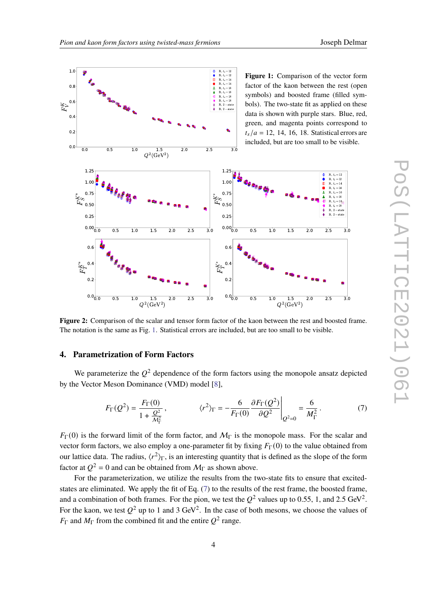<span id="page-3-1"></span><span id="page-3-0"></span>

**Figure 2:** Comparison of the scalar and tensor form factor of the kaon between the rest and boosted frame. The notation is the same as Fig. [1.](#page-3-0) Statistical errors are included, but are too small to be visible.

#### **4. Parametrization of Form Factors**

We parameterize the  $Q^2$  dependence of the form factors using the monopole ansatz depicted by the Vector Meson Dominance (VMD) model [\[8\]](#page-8-7),

<span id="page-3-2"></span>
$$
F_{\Gamma}(Q^2) = \frac{F_{\Gamma}(0)}{1 + \frac{Q^2}{M_{\Gamma}^2}}, \qquad \langle r^2 \rangle_{\Gamma} = -\frac{6}{F_{\Gamma}(0)} \frac{\partial F_{\Gamma}(Q^2)}{\partial Q^2} \bigg|_{Q^2 = 0} = \frac{6}{M_{\Gamma}^2}.
$$
 (7)

 $F_{\Gamma}(0)$  is the forward limit of the form factor, and  $M_{\Gamma}$  is the monopole mass. For the scalar and vector form factors, we also employ a one-parameter fit by fixing  $F_{\Gamma}(0)$  to the value obtained from our lattice data. The radius,  $\langle r^2 \rangle_{\Gamma}$ , is an interesting quantity that is defined as the slope of the form factor at  $Q^2 = 0$  and can be obtained from  $M_{\Gamma}$  as shown above.

For the parameterization, we utilize the results from the two-state fits to ensure that excitedstates are eliminated. We apply the fit of Eq. [\(7\)](#page-3-2) to the results of the rest frame, the boosted frame, and a combination of both frames. For the pion, we test the  $Q^2$  values up to 0.55, 1, and 2.5 GeV<sup>2</sup>. For the kaon, we test  $Q^2$  up to 1 and 3 GeV<sup>2</sup>. In the case of both mesons, we choose the values of  $F_{\Gamma}$  and  $M_{\Gamma}$  from the combined fit and the entire  $Q^2$  range.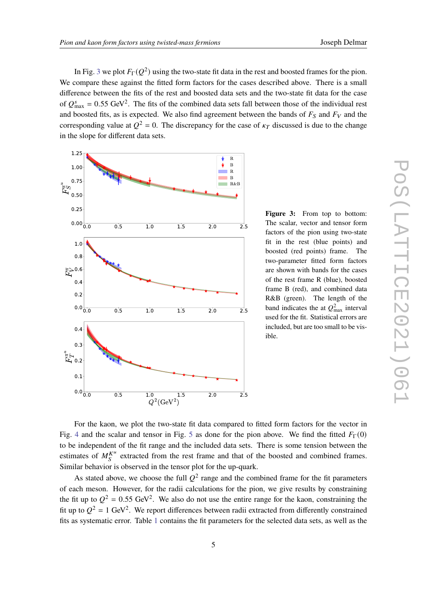In Fig. [3](#page-4-0) we plot  $F_{\Gamma}(Q^2)$  using the two-state fit data in the rest and boosted frames for the pion. We compare these against the fitted form factors for the cases described above. There is a small difference between the fits of the rest and boosted data sets and the two-state fit data for the case of  $Q_{\text{max}}^s = 0.55 \text{ GeV}^2$ . The fits of the combined data sets fall between those of the individual rest and boosted fits, as is expected. We also find agreement between the bands of  $F_S$  and  $F_V$  and the corresponding value at  $Q^2 = 0$ . The discrepancy for the case of  $\kappa_T$  discussed is due to the change in the slope for different data sets.

<span id="page-4-0"></span>

**Figure 3:** From top to bottom: The scalar, vector and tensor form factors of the pion using two-state fit in the rest (blue points) and boosted (red points) frame. The two-parameter fitted form factors are shown with bands for the cases of the rest frame R (blue), boosted frame B (red), and combined data R&B (green). The length of the band indicates the at  $Q_{\text{max}}^2$  interval used for the fit. Statistical errors are included, but are too small to be visible.

For the kaon, we plot the two-state fit data compared to fitted form factors for the vector in Fig. [4](#page-5-0) and the scalar and tensor in Fig. [5](#page-5-1) as done for the pion above. We find the fitted  $F_{\Gamma}(0)$ to be independent of the fit range and the included data sets. There is some tension between the estimates of  $M_S^{K^u}$  extracted from the rest frame and that of the boosted and combined frames. Similar behavior is observed in the tensor plot for the up-quark.

As stated above, we choose the full  $Q^2$  range and the combined frame for the fit parameters of each meson. However, for the radii calculations for the pion, we give results by constraining the fit up to  $Q^2 = 0.55$  GeV<sup>2</sup>. We also do not use the entire range for the kaon, constraining the fit up to  $Q^2 = 1$  GeV<sup>2</sup>. We report differences between radii extracted from differently constrained fits as systematic error. Table [1](#page-6-0) contains the fit parameters for the selected data sets, as well as the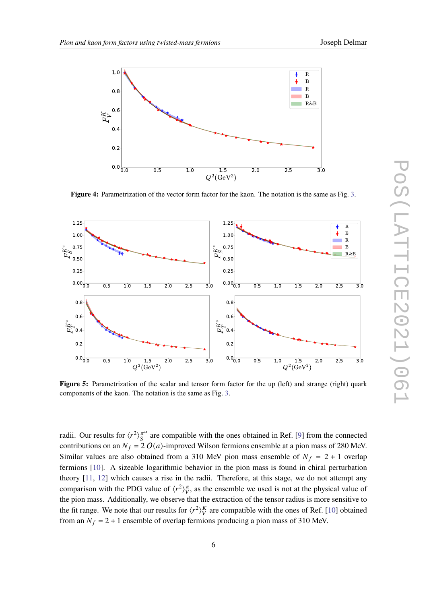<span id="page-5-0"></span>

**Figure 4:** Parametrization of the vector form factor for the kaon. The notation is the same as Fig. [3.](#page-4-0)

<span id="page-5-1"></span>

**Figure 5:** Parametrization of the scalar and tensor form factor for the up (left) and strange (right) quark components of the kaon. The notation is the same as Fig. [3.](#page-4-0)

radii. Our results for  $\langle r^2 \rangle_{S}^{\pi^u}$  $\frac{\pi}{s}$  are compatible with the ones obtained in Ref. [\[9\]](#page-8-8) from the connected contributions on an  $N_f = 2 O(a)$ -improved Wilson fermions ensemble at a pion mass of 280 MeV. Similar values are also obtained from a 310 MeV pion mass ensemble of  $N_f = 2 + 1$  overlap fermions [\[10\]](#page-9-0). A sizeable logarithmic behavior in the pion mass is found in chiral perturbation theory [\[11,](#page-9-1) [12\]](#page-9-2) which causes a rise in the radii. Therefore, at this stage, we do not attempt any comparison with the PDG value of  $\langle r^2 \rangle_{V}^{\pi}$ , as the ensemble we used is not at the physical value of the pion mass. Additionally, we observe that the extraction of the tensor radius is more sensitive to the fit range. We note that our results for  $\langle r^2 \rangle_V^K$  are compatible with the ones of Ref. [\[10\]](#page-9-0) obtained from an  $N_f = 2 + 1$  ensemble of overlap fermions producing a pion mass of 310 MeV.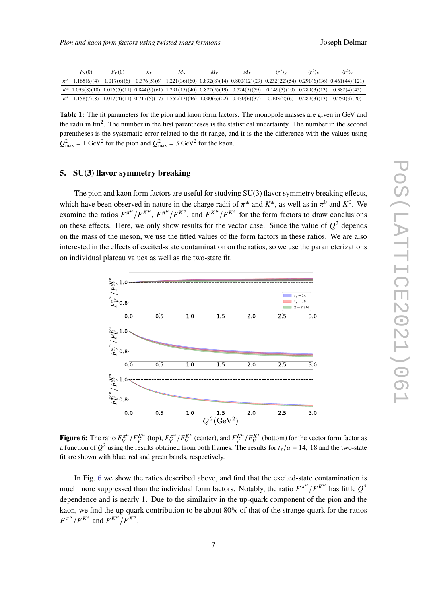<span id="page-6-0"></span>

| $F_S(0)$ | $F_V(0)$ | $K_{T}$ | $M_{S}$                                                                                                                     | Mv | Mт | $\langle r^2 \rangle_{S}$ | $\langle r^2 \rangle_V$ | $\langle r^2 \rangle_T$                                                                                                        |
|----------|----------|---------|-----------------------------------------------------------------------------------------------------------------------------|----|----|---------------------------|-------------------------|--------------------------------------------------------------------------------------------------------------------------------|
|          |          |         |                                                                                                                             |    |    |                           |                         | $\pi^u$ 1.165(6)(4) 1.017(6)(6) 0.376(5)(6) 1.221(36)(60) 0.832(8)(14) 0.800(12)(29) 0.232(22)(54) 0.291(6)(36) 0.461(44)(121) |
|          |          |         | $K^u$ 1.093(8)(10) 1.016(5)(11) 0.844(9)(61) 1.291(15)(40) 0.822(5)(19) 0.724(5)(59) 0.149(3)(10) 0.289(3)(13) 0.382(4)(45) |    |    |                           |                         |                                                                                                                                |
|          |          |         | $K^s$ 1.158(7)(8) 1.017(4)(11) 0.717(5)(17) 1.552(17)(46) 1.000(6)(22) 0.930(6)(37) 0.103(2)(6) 0.289(3)(13) 0.250(3)(20)   |    |    |                           |                         |                                                                                                                                |

**Table 1:** The fit parameters for the pion and kaon form factors. The monopole masses are given in GeV and the radii in  $\text{fm}^2$ . The number in the first parentheses is the statistical uncertainty. The number in the second parentheses is the systematic error related to the fit range, and it is the the difference with the values using  $Q_{\text{max}}^2 = 1 \text{ GeV}^2$  for the pion and  $Q_{\text{max}}^2 = 3 \text{ GeV}^2$  for the kaon.

#### **5. SU(3) flavor symmetry breaking**

The pion and kaon form factors are useful for studying SU(3) flavor symmetry breaking effects, which have been observed in nature in the charge radii of  $\pi^{\pm}$  and  $K^{\pm}$ , as well as in  $\pi^{0}$  and  $K^{0}$ . We examine the ratios  $F^{\pi u}/F^{K^u}, F^{\pi u}/F^{K^s}$ , and  $F^{K^u}/F^{K^s}$  for the form factors to draw conclusions on these effects. Here, we only show results for the vector case. Since the value of  $Q^2$  depends on the mass of the meson, we use the fitted values of the form factors in these ratios. We are also interested in the effects of excited-state contamination on the ratios, so we use the parameterizations on individual plateau values as well as the two-state fit.

<span id="page-6-1"></span>

**Figure 6:** The ratio  $F_V^{\pi^u}/F_V^{K^u}$  (top),  $F_V^{\pi^u}/F_V^{K^s}$  (center), and  $F_V^{K^u}/F_V^{K^s}$  (bottom) for the vector form factor as a function of  $Q^2$  using the results obtained from both frames. The results for  $t_s/a = 14$ , 18 and the two-state fit are shown with blue, red and green bands, respectively.

In Fig. [6](#page-6-1) we show the ratios described above, and find that the excited-state contamination is much more suppressed than the individual form factors. Notably, the ratio  $F^{\pi^u}/F^{K^u}$  has little  $Q^2$ dependence and is nearly 1. Due to the similarity in the up-quark component of the pion and the kaon, we find the up-quark contribution to be about 80% of that of the strange-quark for the ratios  $F^{\pi^u}/F^{K^s}$  and  $F^{K^u}/F^{K^s}$ .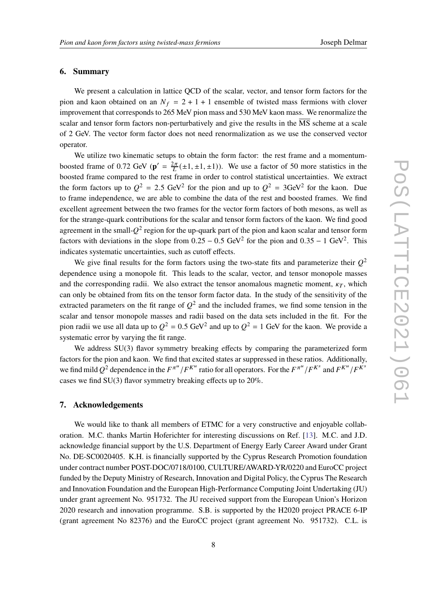### **6. Summary**

We present a calculation in lattice QCD of the scalar, vector, and tensor form factors for the pion and kaon obtained on an  $N_f = 2 + 1 + 1$  ensemble of twisted mass fermions with clover improvement that corresponds to 265 MeV pion mass and 530 MeV kaon mass. We renormalize the scalar and tensor form factors non-perturbatively and give the results in the MS scheme at a scale of 2 GeV. The vector form factor does not need renormalization as we use the conserved vector operator.

We utilize two kinematic setups to obtain the form factor: the rest frame and a momentumboosted frame of 0.72 GeV ( $\mathbf{p}' = \frac{2\pi}{L}(\pm 1, \pm 1, \pm 1)$ ). We use a factor of 50 more statistics in the boosted frame compared to the rest frame in order to control statistical uncertainties. We extract the form factors up to  $Q^2 = 2.5$  GeV<sup>2</sup> for the pion and up to  $Q^2 = 3$ GeV<sup>2</sup> for the kaon. Due to frame independence, we are able to combine the data of the rest and boosted frames. We find excellent agreement between the two frames for the vector form factors of both mesons, as well as for the strange-quark contributions for the scalar and tensor form factors of the kaon. We find good agreement in the small- $Q^2$  region for the up-quark part of the pion and kaon scalar and tensor form factors with deviations in the slope from  $0.25 - 0.5$  GeV<sup>2</sup> for the pion and  $0.35 - 1$  GeV<sup>2</sup>. This indicates systematic uncertainties, such as cutoff effects.

We give final results for the form factors using the two-state fits and parameterize their  $Q^2$ dependence using a monopole fit. This leads to the scalar, vector, and tensor monopole masses and the corresponding radii. We also extract the tensor anomalous magnetic moment,  $\kappa_T$ , which can only be obtained from fits on the tensor form factor data. In the study of the sensitivity of the extracted parameters on the fit range of  $Q^2$  and the included frames, we find some tension in the scalar and tensor monopole masses and radii based on the data sets included in the fit. For the pion radii we use all data up to  $Q^2 = 0.5$  GeV<sup>2</sup> and up to  $Q^2 = 1$  GeV for the kaon. We provide a systematic error by varying the fit range.

We address SU(3) flavor symmetry breaking effects by comparing the parameterized form factors for the pion and kaon. We find that excited states ar suppressed in these ratios. Additionally, we find mild  $Q^2$  dependence in the  $F^{\pi^u}/F^{K^u}$  ratio for all operators. For the  $F^{\pi^u}/F^{K^s}$  and  $F^{K^u}/F^{K^s}$ cases we find SU(3) flavor symmetry breaking effects up to 20%.

## **7. Acknowledgements**

We would like to thank all members of ETMC for a very constructive and enjoyable collaboration. M.C. thanks Martin Hoferichter for interesting discussions on Ref. [\[13\]](#page-9-3). M.C. and J.D. acknowledge financial support by the U.S. Department of Energy Early Career Award under Grant No. DE-SC0020405. K.H. is financially supported by the Cyprus Research Promotion foundation under contract number POST-DOC/0718/0100, CULTURE/AWARD-YR/0220 and EuroCC project funded by the Deputy Ministry of Research, Innovation and Digital Policy, the Cyprus The Research and Innovation Foundation and the European High-Performance Computing Joint Undertaking (JU) under grant agreement No. 951732. The JU received support from the European Union's Horizon 2020 research and innovation programme. S.B. is supported by the H2020 project PRACE 6-IP (grant agreement No 82376) and the EuroCC project (grant agreement No. 951732). C.L. is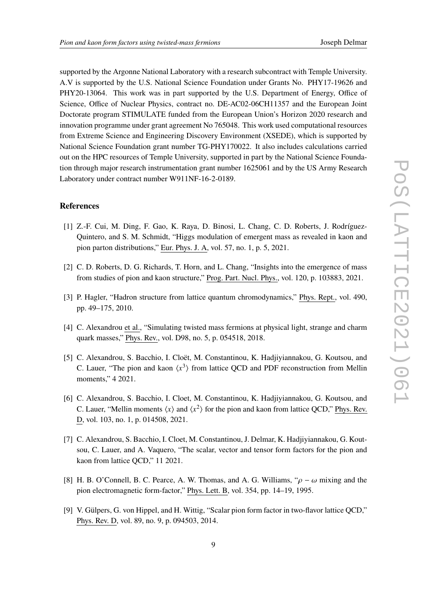supported by the Argonne National Laboratory with a research subcontract with Temple University. A.V is supported by the U.S. National Science Foundation under Grants No. PHY17-19626 and PHY20-13064. This work was in part supported by the U.S. Department of Energy, Office of Science, Office of Nuclear Physics, contract no. DE-AC02-06CH11357 and the European Joint Doctorate program STIMULATE funded from the European Union's Horizon 2020 research and innovation programme under grant agreement No 765048. This work used computational resources from Extreme Science and Engineering Discovery Environment (XSEDE), which is supported by National Science Foundation grant number TG-PHY170022. It also includes calculations carried out on the HPC resources of Temple University, supported in part by the National Science Foundation through major research instrumentation grant number 1625061 and by the US Army Research Laboratory under contract number W911NF-16-2-0189.

## **References**

- <span id="page-8-0"></span>[1] Z.-F. Cui, M. Ding, F. Gao, K. Raya, D. Binosi, L. Chang, C. D. Roberts, J. Rodríguez-Quintero, and S. M. Schmidt, "Higgs modulation of emergent mass as revealed in kaon and pion parton distributions," Eur. Phys. J. A, vol. 57, no. 1, p. 5, 2021.
- <span id="page-8-1"></span>[2] C. D. Roberts, D. G. Richards, T. Horn, and L. Chang, "Insights into the emergence of mass from studies of pion and kaon structure," Prog. Part. Nucl. Phys., vol. 120, p. 103883, 2021.
- <span id="page-8-2"></span>[3] P. Hagler, "Hadron structure from lattice quantum chromodynamics," Phys. Rept., vol. 490, pp. 49–175, 2010.
- <span id="page-8-3"></span>[4] C. Alexandrou et al., "Simulating twisted mass fermions at physical light, strange and charm quark masses," Phys. Rev., vol. D98, no. 5, p. 054518, 2018.
- <span id="page-8-4"></span>[5] C. Alexandrou, S. Bacchio, I. Cloët, M. Constantinou, K. Hadjiyiannakou, G. Koutsou, and C. Lauer, "The pion and kaon  $\langle x^3 \rangle$  from lattice QCD and PDF reconstruction from Mellin moments," 4 2021.
- <span id="page-8-5"></span>[6] C. Alexandrou, S. Bacchio, I. Cloet, M. Constantinou, K. Hadjiyiannakou, G. Koutsou, and C. Lauer, "Mellin moments  $\langle x \rangle$  and  $\langle x^2 \rangle$  for the pion and kaon from lattice QCD," Phys. Rev. D, vol. 103, no. 1, p. 014508, 2021.
- <span id="page-8-6"></span>[7] C. Alexandrou, S. Bacchio, I. Cloet, M. Constantinou, J. Delmar, K. Hadjiyiannakou, G. Koutsou, C. Lauer, and A. Vaquero, "The scalar, vector and tensor form factors for the pion and kaon from lattice QCD," 11 2021.
- <span id="page-8-7"></span>[8] H. B. O'Connell, B. C. Pearce, A. W. Thomas, and A. G. Williams, " $\rho - \omega$  mixing and the pion electromagnetic form-factor," Phys. Lett. B, vol. 354, pp. 14–19, 1995.
- <span id="page-8-8"></span>[9] V. Gülpers, G. von Hippel, and H. Wittig, "Scalar pion form factor in two-flavor lattice QCD," Phys. Rev. D, vol. 89, no. 9, p. 094503, 2014.